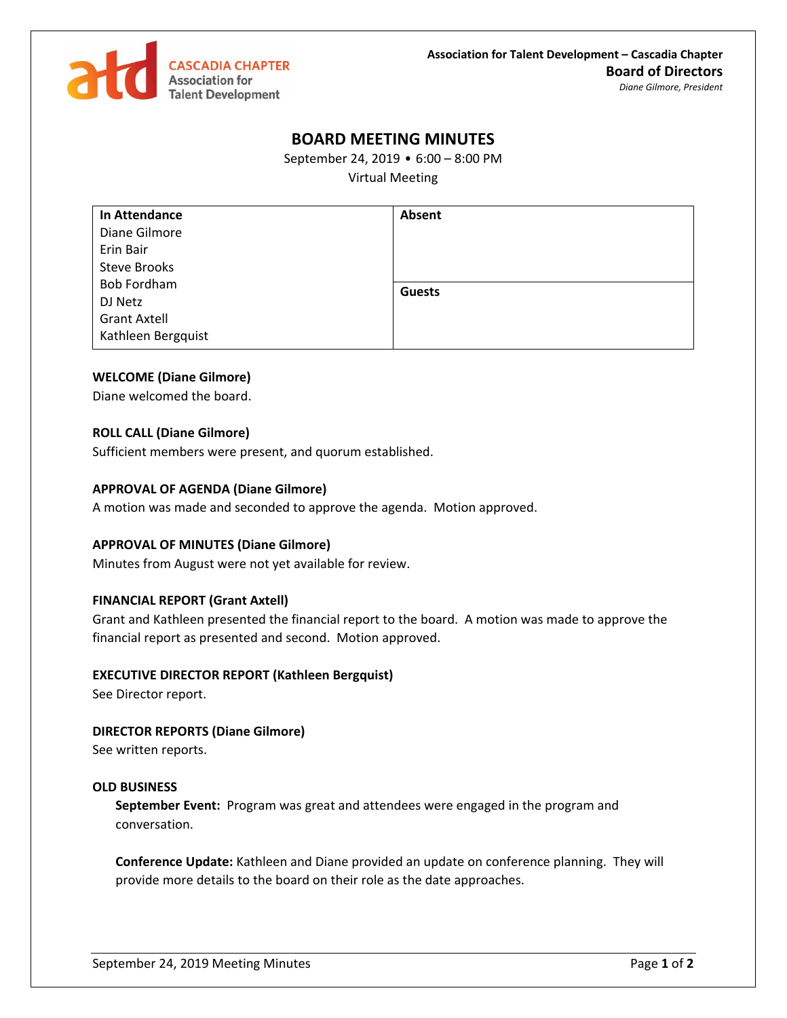

# **BOARD MEETING MINUTES**

September 24, 2019 • 6:00 – 8:00 PM

Virtual Meeting

| <b>In Attendance</b> | Absent        |
|----------------------|---------------|
| Diane Gilmore        |               |
| Erin Bair            |               |
| <b>Steve Brooks</b>  |               |
| <b>Bob Fordham</b>   | <b>Guests</b> |
| DJ Netz              |               |
| <b>Grant Axtell</b>  |               |
| Kathleen Bergquist   |               |

# **WELCOME (Diane Gilmore)**

Diane welcomed the board.

## **ROLL CALL (Diane Gilmore)**

Sufficient members were present, and quorum established.

## **APPROVAL OF AGENDA (Diane Gilmore)**

A motion was made and seconded to approve the agenda. Motion approved.

## **APPROVAL OF MINUTES (Diane Gilmore)**

Minutes from August were not yet available for review.

# **FINANCIAL REPORT (Grant Axtell)**

Grant and Kathleen presented the financial report to the board. A motion was made to approve the financial report as presented and second. Motion approved.

#### **EXECUTIVE DIRECTOR REPORT (Kathleen Bergquist)**

See Director report.

# **DIRECTOR REPORTS (Diane Gilmore)**

See written reports.

#### **OLD BUSINESS**

**September Event:** Program was great and attendees were engaged in the program and conversation.

**Conference Update:** Kathleen and Diane provided an update on conference planning. They will provide more details to the board on their role as the date approaches.